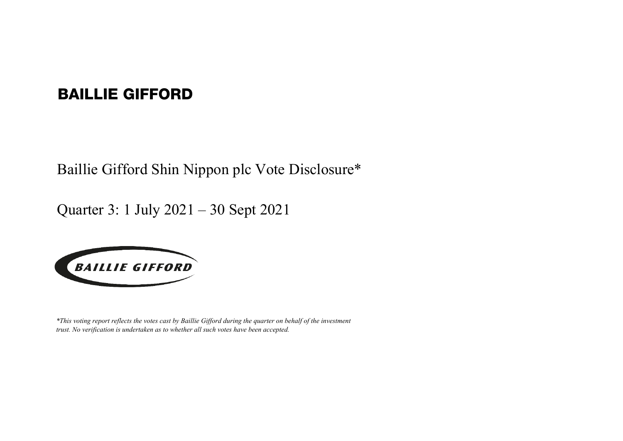## BAILLIE GIFFORD

Baillie Gifford Shin Nippon plc Vote Disclosure\*

Quarter 3: 1 July 2021 – 30 Sept 2021



*\*This voting report reflects the votes cast by Baillie Gifford during the quarter on behalf of the investment trust. No verification is undertaken as to whether all such votes have been accepted.*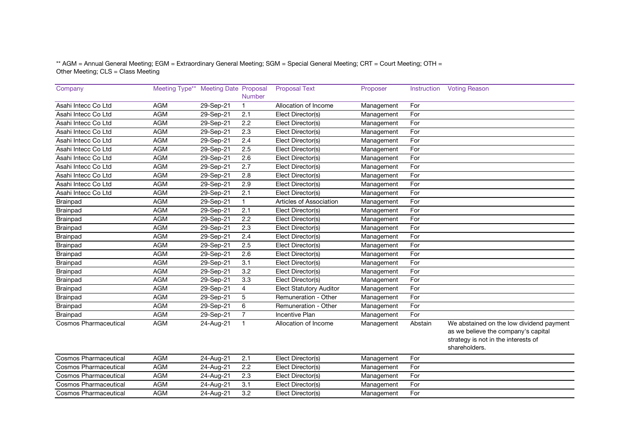## \*\* AGM = Annual General Meeting; EGM = Extraordinary General Meeting; SGM = Special General Meeting; CRT = Court Meeting; OTH = Other Meeting; CLS = Class Meeting

| Company                      | Meeting Type** Meeting Date Proposal |              |                  | <b>Proposal Text</b>           | Proposer   | Instruction | <b>Voting Reason</b>                                                                                                                    |
|------------------------------|--------------------------------------|--------------|------------------|--------------------------------|------------|-------------|-----------------------------------------------------------------------------------------------------------------------------------------|
|                              |                                      |              | <b>Number</b>    |                                |            |             |                                                                                                                                         |
| Asahi Intecc Co Ltd          | <b>AGM</b>                           | 29-Sep-21    | $\mathbf{1}$     | Allocation of Income           | Management | For         |                                                                                                                                         |
| Asahi Intecc Co Ltd          | <b>AGM</b>                           | 29-Sep-21    | 2.1              | Elect Director(s)              | Management | For         |                                                                                                                                         |
| Asahi Intecc Co Ltd          | <b>AGM</b>                           | $29-$ Sep-21 | 2.2              | Elect Director(s)              | Management | For         |                                                                                                                                         |
| Asahi Intecc Co Ltd          | <b>AGM</b>                           | 29-Sep-21    | 2.3              | Elect Director(s)              | Management | For         |                                                                                                                                         |
| Asahi Intecc Co Ltd          | <b>AGM</b>                           | 29-Sep-21    | 2.4              | Elect Director(s)              | Management | For         |                                                                                                                                         |
| Asahi Intecc Co Ltd          | <b>AGM</b>                           | 29-Sep-21    | 2.5              | Elect Director(s)              | Management | For         |                                                                                                                                         |
| Asahi Intecc Co Ltd          | <b>AGM</b>                           | 29-Sep-21    | 2.6              | Elect Director(s)              | Management | For         |                                                                                                                                         |
| Asahi Intecc Co Ltd          | <b>AGM</b>                           | 29-Sep-21    | 2.7              | Elect Director(s)              | Management | For         |                                                                                                                                         |
| Asahi Intecc Co Ltd          | <b>AGM</b>                           | $29-$ Sep-21 | 2.8              | Elect Director(s)              | Management | For         |                                                                                                                                         |
| Asahi Intecc Co Ltd          | <b>AGM</b>                           | 29-Sep-21    | 2.9              | Elect Director(s)              | Management | For         |                                                                                                                                         |
| Asahi Intecc Co Ltd          | <b>AGM</b>                           | 29-Sep-21    | 2.1              | Elect Director(s)              | Management | For         |                                                                                                                                         |
| Brainpad                     | <b>AGM</b>                           | 29-Sep-21    | $\mathbf{1}$     | Articles of Association        | Management | For         |                                                                                                                                         |
| <b>Brainpad</b>              | <b>AGM</b>                           | 29-Sep-21    | 2.1              | Elect Director(s)              | Management | For         |                                                                                                                                         |
| <b>Brainpad</b>              | <b>AGM</b>                           | 29-Sep-21    | $\overline{2.2}$ | Elect Director(s)              | Management | For         |                                                                                                                                         |
| Brainpad                     | <b>AGM</b>                           | 29-Sep-21    | 2.3              | Elect Director(s)              | Management | For         |                                                                                                                                         |
| <b>Brainpad</b>              | <b>AGM</b>                           | 29-Sep-21    | 2.4              | Elect Director(s)              | Management | For         |                                                                                                                                         |
| Brainpad                     | <b>AGM</b>                           | 29-Sep-21    | 2.5              | Elect Director(s)              | Management | For         |                                                                                                                                         |
| Brainpad                     | <b>AGM</b>                           | 29-Sep-21    | 2.6              | Elect Director(s)              | Management | For         |                                                                                                                                         |
| Brainpad                     | <b>AGM</b>                           | 29-Sep-21    | 3.1              | Elect Director(s)              | Management | For         |                                                                                                                                         |
| Brainpad                     | <b>AGM</b>                           | 29-Sep-21    | 3.2              | Elect Director(s)              | Management | For         |                                                                                                                                         |
| Brainpad                     | <b>AGM</b>                           | 29-Sep-21    | 3.3              | Elect Director(s)              | Management | For         |                                                                                                                                         |
| Brainpad                     | <b>AGM</b>                           | 29-Sep-21    | $\overline{4}$   | <b>Elect Statutory Auditor</b> | Management | For         |                                                                                                                                         |
| Brainpad                     | <b>AGM</b>                           | 29-Sep-21    | 5                | Remuneration - Other           | Management | For         |                                                                                                                                         |
| Brainpad                     | <b>AGM</b>                           | 29-Sep-21    | 6                | Remuneration - Other           | Management | For         |                                                                                                                                         |
| <b>Brainpad</b>              | <b>AGM</b>                           | 29-Sep-21    | $\overline{7}$   | <b>Incentive Plan</b>          | Management | For         |                                                                                                                                         |
| <b>Cosmos Pharmaceutical</b> | <b>AGM</b>                           | 24-Aug-21    | $\mathbf{1}$     | Allocation of Income           | Management | Abstain     | We abstained on the low dividend payment<br>as we believe the company's capital<br>strategy is not in the interests of<br>shareholders. |
| <b>Cosmos Pharmaceutical</b> | <b>AGM</b>                           | 24-Aug-21    | 2.1              | Elect Director(s)              | Management | For         |                                                                                                                                         |
| <b>Cosmos Pharmaceutical</b> | <b>AGM</b>                           | 24-Aug-21    | 2.2              | Elect Director(s)              | Management | For         |                                                                                                                                         |
| <b>Cosmos Pharmaceutical</b> | <b>AGM</b>                           | 24-Aug-21    | 2.3              | Elect Director(s)              | Management | For         |                                                                                                                                         |
| <b>Cosmos Pharmaceutical</b> | <b>AGM</b>                           | 24-Aug-21    | 3.1              | Elect Director(s)              | Management | For         |                                                                                                                                         |
| <b>Cosmos Pharmaceutical</b> | <b>AGM</b>                           | 24-Aug-21    | 3.2              | Elect Director(s)              | Management | For         |                                                                                                                                         |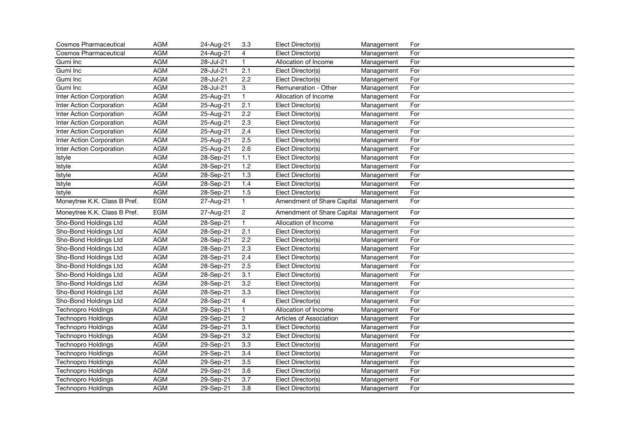| <b>Cosmos Pharmaceutical</b> | <b>AGM</b> | 24-Aug-21   | 3.3              | Elect Director(s)                     | Management | For |
|------------------------------|------------|-------------|------------------|---------------------------------------|------------|-----|
| <b>Cosmos Pharmaceutical</b> | <b>AGM</b> | 24-Aug-21   | $\overline{4}$   | Elect Director(s)                     | Management | For |
| Gumi Inc                     | <b>AGM</b> | 28-Jul-21   | $\mathbf{1}$     | Allocation of Income                  | Management | For |
| Gumi Inc                     | <b>AGM</b> | 28-Jul-21   | 2.1              | Elect Director(s)                     | Management | For |
| Gumi Inc                     | <b>AGM</b> | 28-Jul-21   | 2.2              | Elect Director(s)                     | Management | For |
| Gumi Inc                     | <b>AGM</b> | 28-Jul-21   | 3                | Remuneration - Other                  | Management | For |
| Inter Action Corporation     | <b>AGM</b> | 25-Aug-21   | $\mathbf{1}$     | Allocation of Income                  | Management | For |
| Inter Action Corporation     | <b>AGM</b> | 25-Aug-21   | 2.1              | Elect Director(s)                     | Management | For |
| Inter Action Corporation     | <b>AGM</b> | 25-Aug-21   | $\overline{2.2}$ | Elect Director(s)                     | Management | For |
| Inter Action Corporation     | <b>AGM</b> | 25-Aug-21   | 2.3              | Elect Director(s)                     | Management | For |
| Inter Action Corporation     | <b>AGM</b> | 25-Aug-21   | 2.4              | Elect Director(s)                     | Management | For |
| Inter Action Corporation     | <b>AGM</b> | 25-Aug-21   | 2.5              | Elect Director(s)                     | Management | For |
| Inter Action Corporation     | <b>AGM</b> | 25-Aug-21   | $\overline{2.6}$ | Elect Director(s)                     | Management | For |
| Istyle                       | <b>AGM</b> | $28-Sep-21$ | 1.1              | Elect Director(s)                     | Management | For |
| Istyle                       | <b>AGM</b> | 28-Sep-21   | 1.2              | Elect Director(s)                     | Management | For |
| Istyle                       | <b>AGM</b> | 28-Sep-21   | 1.3              | Elect Director(s)                     | Management | For |
| Istyle                       | <b>AGM</b> | 28-Sep-21   | 1.4              | Elect Director(s)                     | Management | For |
| Istyle                       | <b>AGM</b> | 28-Sep-21   | 1.5              | Elect Director(s)                     | Management | For |
| Moneytree K.K. Class B Pref. | <b>EGM</b> | 27-Aug-21   | $\mathbf{1}$     | Amendment of Share Capital Management |            | For |
| Moneytree K.K. Class B Pref. | EGM        | 27-Aug-21   | $\overline{c}$   | Amendment of Share Capital Management |            | For |
| Sho-Bond Holdings Ltd        | <b>AGM</b> | 28-Sep-21   | $\mathbf{1}$     | Allocation of Income                  | Management | For |
| Sho-Bond Holdings Ltd        | <b>AGM</b> | 28-Sep-21   | $\overline{2.1}$ | Elect Director(s)                     | Management | For |
| Sho-Bond Holdings Ltd        | <b>AGM</b> | 28-Sep-21   | $\overline{2.2}$ | Elect Director(s)                     | Management | For |
| Sho-Bond Holdings Ltd        | <b>AGM</b> | 28-Sep-21   | 2.3              | Elect Director(s)                     | Management | For |
| Sho-Bond Holdings Ltd        | <b>AGM</b> | 28-Sep-21   | 2.4              | Elect Director(s)                     | Management | For |
| Sho-Bond Holdings Ltd        | <b>AGM</b> | 28-Sep-21   | $\overline{2.5}$ | Elect Director(s)                     | Management | For |
| Sho-Bond Holdings Ltd        | <b>AGM</b> | 28-Sep-21   | 3.1              | Elect Director(s)                     | Management | For |
| Sho-Bond Holdings Ltd        | <b>AGM</b> | 28-Sep-21   | 3.2              | Elect Director(s)                     | Management | For |
| Sho-Bond Holdings Ltd        | <b>AGM</b> | 28-Sep-21   | 3.3              | Elect Director(s)                     | Management | For |
| Sho-Bond Holdings Ltd        | <b>AGM</b> | 28-Sep-21   | $\overline{4}$   | Elect Director(s)                     | Management | For |
| <b>Technopro Holdings</b>    | <b>AGM</b> | 29-Sep-21   | $\mathbf{1}$     | Allocation of Income                  | Management | For |
| <b>Technopro Holdings</b>    | <b>AGM</b> | 29-Sep-21   | $\overline{c}$   | Articles of Association               | Management | For |
| <b>Technopro Holdings</b>    | <b>AGM</b> | 29-Sep-21   | $\overline{3.1}$ | Elect Director(s)                     | Management | For |
| <b>Technopro Holdings</b>    | <b>AGM</b> | 29-Sep-21   | 3.2              | Elect Director(s)                     | Management | For |
| <b>Technopro Holdings</b>    | <b>AGM</b> | 29-Sep-21   | 3.3              | Elect Director(s)                     | Management | For |
| <b>Technopro Holdings</b>    | <b>AGM</b> | 29-Sep-21   | 3.4              | Elect Director(s)                     | Management | For |
| <b>Technopro Holdings</b>    | <b>AGM</b> | 29-Sep-21   | $\overline{3.5}$ | Elect Director(s)                     | Management | For |
| Technopro Holdings           | <b>AGM</b> | 29-Sep-21   | 3.6              | Elect Director(s)                     | Management | For |
| <b>Technopro Holdings</b>    | <b>AGM</b> | 29-Sep-21   | $\overline{3.7}$ | Elect Director(s)                     | Management | For |
| <b>Technopro Holdings</b>    | <b>AGM</b> | 29-Sep-21   | $\overline{3.8}$ | Elect Director(s)                     | Management | For |